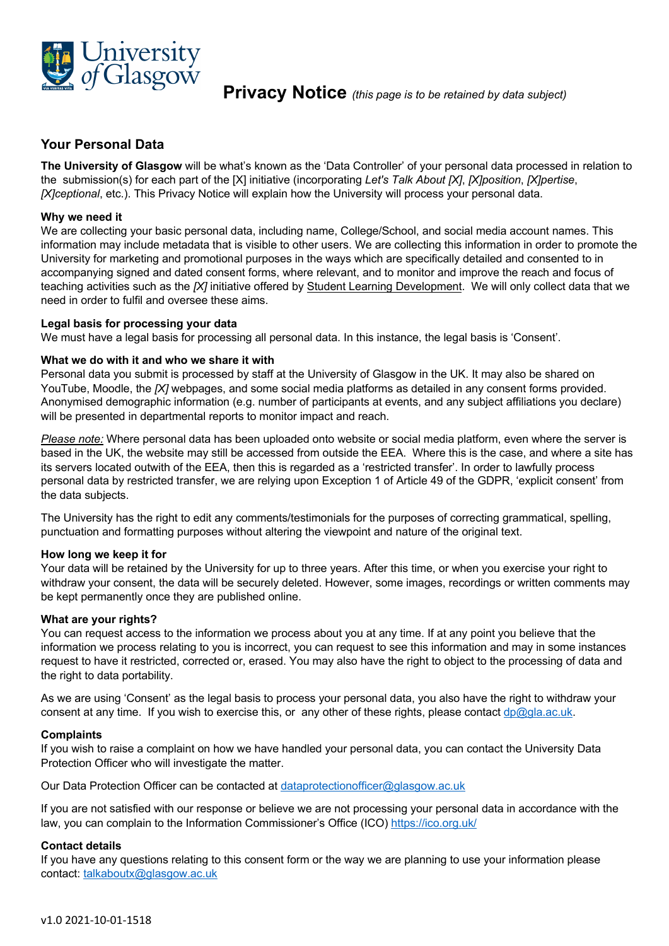

**Privacy Notice** *(this page is to be retained by data subject)*

# **Your Personal Data**

**The University of Glasgow** will be what's known as the 'Data Controller' of your personal data processed in relation to the submission(s) for each part of the [X] initiative (incorporating *Let's Talk About [X]*, *[X]position*, *[X]pertise*, *[X]ceptional*, etc.). This Privacy Notice will explain how the University will process your personal data.

### **Why we need it**

We are collecting your basic personal data, including name, College/School, and social media account names. This information may include metadata that is visible to other users. We are collecting this information in order to promote the University for marketing and promotional purposes in the ways which are specifically detailed and consented to in accompanying signed and dated consent forms, where relevant, and to monitor and improve the reach and focus of teaching activities such as the *[X]* initiative offered by Student Learning Development. We will only collect data that we need in order to fulfil and oversee these aims.

#### **Legal basis for processing your data**

We must have a legal basis for processing all personal data. In this instance, the legal basis is 'Consent'.

#### **What we do with it and who we share it with**

Personal data you submit is processed by staff at the University of Glasgow in the UK. It may also be shared on YouTube, Moodle, the *[X]* webpages, and some social media platforms as detailed in any consent forms provided. Anonymised demographic information (e.g. number of participants at events, and any subject affiliations you declare) will be presented in departmental reports to monitor impact and reach.

*Please note:* Where personal data has been uploaded onto website or social media platform, even where the server is based in the UK, the website may still be accessed from outside the EEA. Where this is the case, and where a site has its servers located outwith of the EEA, then this is regarded as a 'restricted transfer'. In order to lawfully process personal data by restricted transfer, we are relying upon Exception 1 of Article 49 of the GDPR, 'explicit consent' from the data subjects.

The University has the right to edit any comments/testimonials for the purposes of correcting grammatical, spelling, punctuation and formatting purposes without altering the viewpoint and nature of the original text.

#### **How long we keep it for**

Your data will be retained by the University for up to three years. After this time, or when you exercise your right to withdraw your consent, the data will be securely deleted. However, some images, recordings or written comments may be kept permanently once they are published online.

#### **What are your rights?**

You can request access to the information we process about you at any time. If at any point you believe that the information we process relating to you is incorrect, you can request to see this information and may in some instances request to have it restricted, corrected or, erased. You may also have the right to object to the processing of data and the right to data portability.

As we are using 'Consent' as the legal basis to process your personal data, you also have the right to withdraw your consent at any time. If you wish to exercise this, or any other of these rights, please contact dp@gla.ac.uk.

#### **Complaints**

If you wish to raise a complaint on how we have handled your personal data, you can contact the University Data Protection Officer who will investigate the matter.

Our Data Protection Officer can be contacted at dataprotectionofficer@glasgow.ac.uk

If you are not satisfied with our response or believe we are not processing your personal data in accordance with the law, you can complain to the Information Commissioner's Office (ICO) https://ico.org.uk/

# **Contact details**

If you have any questions relating to this consent form or the way we are planning to use your information please contact: talkaboutx@glasgow.ac.uk